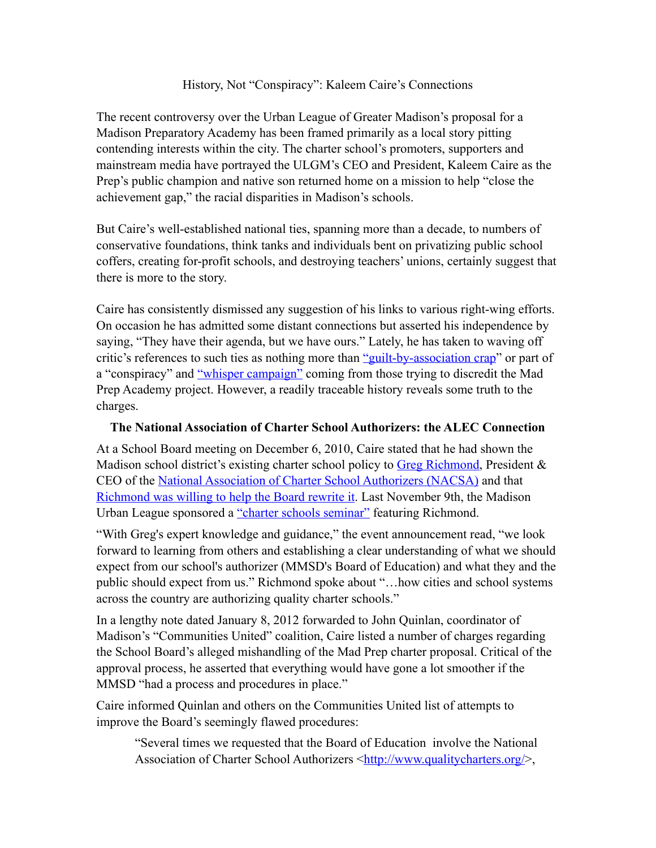#### History, Not "Conspiracy": Kaleem Caire's Connections

The recent controversy over the Urban League of Greater Madison's proposal for a Madison Preparatory Academy has been framed primarily as a local story pitting contending interests within the city. The charter school's promoters, supporters and mainstream media have portrayed the ULGM's CEO and President, Kaleem Caire as the Prep's public champion and native son returned home on a mission to help "close the achievement gap," the racial disparities in Madison's schools.

But Caire's well-established national ties, spanning more than a decade, to numbers of conservative foundations, think tanks and individuals bent on privatizing public school coffers, creating for-profit schools, and destroying teachers' unions, certainly suggest that there is more to the story.

Caire has consistently dismissed any suggestion of his links to various right-wing efforts. On occasion he has admitted some distant connections but asserted his independence by saying, "They have their agenda, but we have ours." Lately, he has taken to waving off critic's references to such ties as nothing more than ["guilt-by-association crap](http://host.madison.com/wsj/news/local/article_d3b340f6-e21d-11e0-8f19-001cc4c002e0.html)" or part of a "conspiracy" and ["whisper campaign"](http://webcache.googleusercontent.com/search?q=cache:nLnQFqRC-D4J:host.madison.com/ct/local/grassroots/+Kaleem+Caire+&+%25E2%2580%259Cwhisper+campaign%25E2%2580%259D&cd=2&hl=en&ct=clnk&gl=us&client=firefox-a) coming from those trying to discredit the Mad Prep Academy project. However, a readily traceable history reveals some truth to the charges.

#### **The National Association of Charter School Authorizers: the ALEC Connection**

At a School Board meeting on December 6, 2010, Caire stated that he had shown the Madison school district's existing charter school policy to [Greg Richmond,](http://www.linkedin.com/in/gregrichmond) President & CEO of the [National Association of Charter School Authorizers \(NACSA\)](http://www.qualitycharters.org/about/partners) and that [Richmond was willing to help the Board rewrite it](http://webcache.googleusercontent.com/search?q=cache:WNvh718LwWUJ:edhughesschoolblog.wordpress.com/2010/12/05/initial-thoughts-on-the-madison-prep-proposal/+ed+hughes+blog+kemble+richmond&cd=1&hl=en&ct=clnk&gl=us&client=firefox-a). Last November 9th, the Madison Urban League sponsored a ["charter schools seminar"](http://www.isthmusparents.com/calendar/details.php?event=272766&name=Charter%20Schools%20Seminar) featuring Richmond.

"With Greg's expert knowledge and guidance," the event announcement read, "we look forward to learning from others and establishing a clear understanding of what we should expect from our school's authorizer (MMSD's Board of Education) and what they and the public should expect from us." Richmond spoke about "…how cities and school systems across the country are authorizing quality charter schools."

In a lengthy note dated January 8, 2012 forwarded to John Quinlan, coordinator of Madison's "Communities United" coalition, Caire listed a number of charges regarding the School Board's alleged mishandling of the Mad Prep charter proposal. Critical of the approval process, he asserted that everything would have gone a lot smoother if the MMSD "had a process and procedures in place."

Caire informed Quinlan and others on the Communities United list of attempts to improve the Board's seemingly flawed procedures:

"Several times we requested that the Board of Education involve the National Association of Charter School Authorizers <<http://www.qualitycharters.org/>>,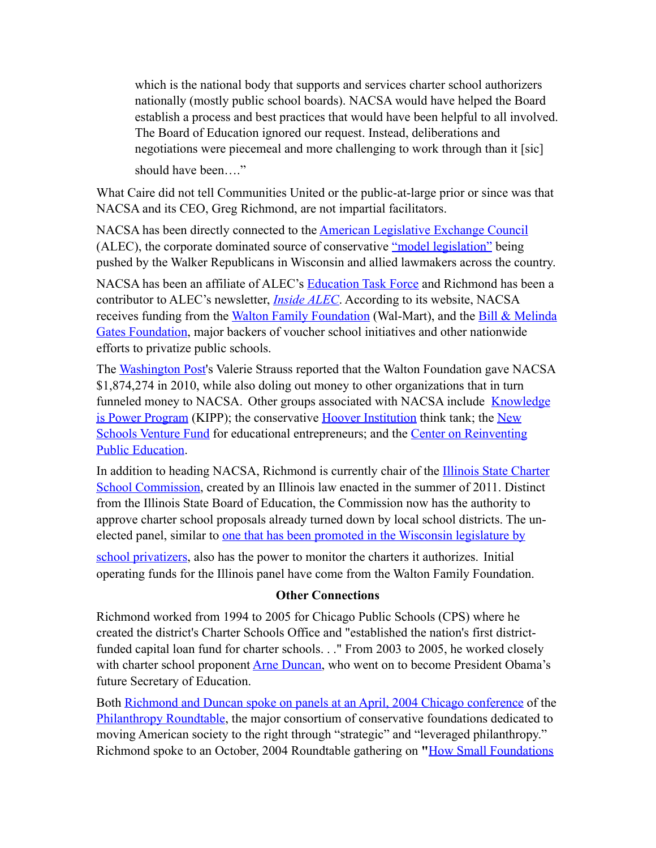which is the national body that supports and services charter school authorizers nationally (mostly public school boards). NACSA would have helped the Board establish a process and best practices that would have been helpful to all involved. The Board of Education ignored our request. Instead, deliberations and negotiations were piecemeal and more challenging to work through than it [sic] should have been…."

What Caire did not tell Communities United or the public-at-large prior or since was that NACSA and its CEO, Greg Richmond, are not impartial facilitators.

NACSA has been directly connected to the [American Legislative Exchange Council](http://www.sourcewatch.org/index.php?title=American_Legislative_Exchange_Council) (ALEC), the corporate dominated source of conservative ["model legislation"](http://alecexposed.org/wiki/Bills_Affecting_Americans) being pushed by the Walker Republicans in Wisconsin and allied lawmakers across the country.

NACSA has been an affiliate of ALEC's [Education Task Force](http://www.sourcewatch.org/index.php?title=Education_Task_Force) and Richmond has been a contributor to ALEC's newsletter, *[Inside ALEC](http://www.qualitycharters.org/about/partners)*. According to its website, NACSA receives funding from the [Walton Family Foundation](http://www.washingtonpost.com/blogs/answer-sheet/post/how-walton-foundation-spent-157-million-on-ed-reform-in-dc-and-other-places/2011/06/28/AGhLy0pH_blog.html#weighIn) (Wal-Mart), and the **Bill & Melinda** [Gates Foundation,](http://www.sourcewatch.org/index.php?title=Bill_%26_Melinda_Gates_Foundation) major backers of voucher school initiatives and other nationwide efforts to privatize public schools.

The [Washington Post](http://www.washingtonpost.com/blogs/answer-sheet/post/how-walton-foundation-spent-157-million-on-ed-reform-in-dc-and-other-places/2011/06/28/AGhLy0pH_blog.html)'s Valerie Strauss reported that the Walton Foundation gave NACSA \$1,874,274 in 2010, while also doling out money to other organizations that in turn funneled money to NACSA. Other groups associated with NACSA include [Knowledge](http://www.sourcewatch.org/index.php?title=Knowledge_is_Power_Program)  [is Power Program](http://www.sourcewatch.org/index.php?title=Knowledge_is_Power_Program) (KIPP); the conservative [Hoover Institution](http://www.rightweb.irc-online.org/profile/Hoover_Institution) think tank; the New [Schools Venture Fund](http://mrzine.monthlyreview.org/2008/sandronsky230408.html) for educational entrepreneurs; and the Center on Reinventing [Public Education](http://www.sourcewatch.org/index.php?title=Center_on_Reinventing_Public_Education).

In addition to heading NACSA, Richmond is currently chair of the Illinois State Charter [School Commission](http://www.wbez.org/story/charter-school-agency%25E2%2580%2599s-funding-raises-questions-94919), created by an Illinois law enacted in the summer of 2011. Distinct from the Illinois State Board of Education, the Commission now has the authority to approve charter school proposals already turned down by local school districts. The unelected panel, similar to <u>one that has been promoted in the Wisconsin legislature by</u>

[school privatizers,](http://wi.opengovernment.org/sessions/2011-regular-session/bills/sb-22) also has the power to monitor the charters it authorizes. Initial operating funds for the Illinois panel have come from the Walton Family Foundation.

### **Other Connections**

Richmond worked from 1994 to 2005 for Chicago Public Schools (CPS) where he created the district's Charter Schools Office and "established the nation's first districtfunded capital loan fund for charter schools. . ." From 2003 to 2005, he worked closely with charter school proponent [Arne Duncan](http://www.rethinkingschools.org/archive/23_03/arne233.shtml), who went on to become President Obama's future Secretary of Education.

Both [Richmond and Duncan spoke on panels at an April, 2004 Chicago conference](http://www.philanthropyroundtable.org/events/association_of_small_foundations_national_conference) of the [Philanthropy Roundtable](http://rightweb.irc-online.org/profile/Philanthropy_Roundtable), the major consortium of conservative foundations dedicated to moving American society to the right through "strategic" and "leveraged philanthropy." Richmond spoke to an October, 2004 Roundtable gathering on **"**[How Small Foundations](http://www.philanthropyroundtable.org/events/association_of_small_foundations_national_conference)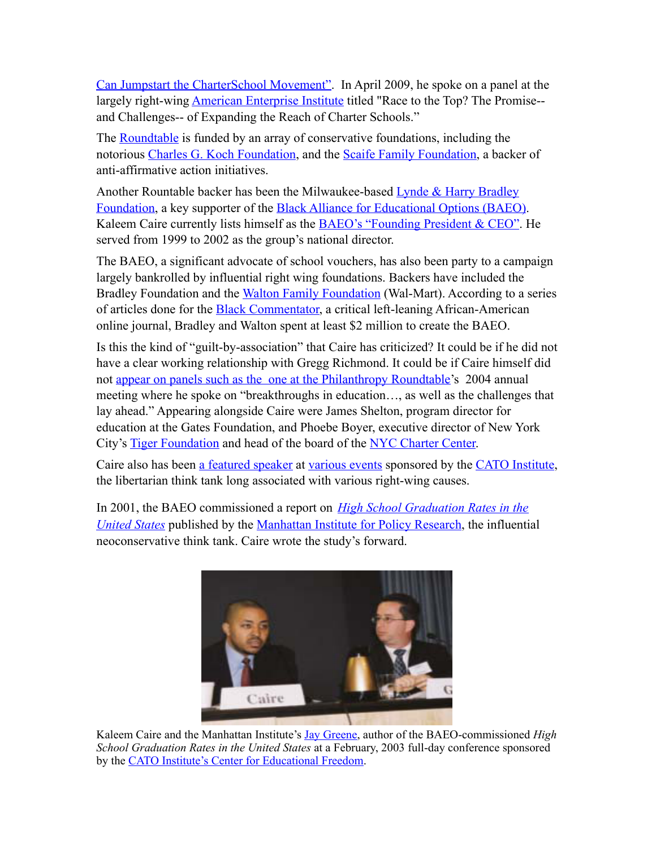[Can Jumpstart the CharterSchool Movement"](http://www.philanthropyroundtable.org/events/association_of_small_foundations_national_conference).In April 2009, he spoke on a panel at the largely right-wing **American Enterprise Institute titled "Race to the Top? The Promise-**and Challenges-- of Expanding the Reach of Charter Schools."

The [Roundtable](http://www.sourcewatch.org/index.php?title=Philanthropy_Roundtable) is funded by an array of conservative foundations, including the notorious [Charles G. Koch Foundation](http://webcache.googleusercontent.com/search?q=cache:2ecXb9icBv4J:www.prwatch.org/news/2011/05/10739/charles-g-koch-foundation-hires-and-fires-economists-public-university+%22Charles+G.+Koch+Foundation%22&cd=8&hl=en&ct=clnk&gl=us&client=firefox-a), and the [Scaife Family Foundation,](http://rightweb.irc-online.org/profile/Scaife_Foundations) a backer of anti-affirmative action initiatives.

Another Rountable backer has been the Milwaukee-based [Lynde & Harry Bradley](http://www.sourcewatch.org/index.php?title=Bradley_Foundation)  [Foundation,](http://www.sourcewatch.org/index.php?title=Bradley_Foundation) a key supporter of the [Black Alliance for Educational Options \(BAEO\)](http://67.192.238.60/media-center/publications/community-voice/baeo-s-founding-image-and-strategy). Kaleem Caire currently lists himself as the **BAEO's "Founding President & CEO"**. He served from 1999 to 2002 as the group's national director.

The BAEO, a significant advocate of school vouchers, has also been party to a campaign largely bankrolled by influential right wing foundations. Backers have included the Bradley Foundation and the [Walton Family Foundation](http://old.mediatransparency.org/pdastory.php?storyID=88) (Wal-Mart). According to a series of articles done for the [Black Commentator](http://www.blackcommentator.com/16_thw_pr.html), a critical left-leaning African-American online journal, Bradley and Walton spent at least \$2 million to create the BAEO.

Is this the kind of "guilt-by-association" that Caire has criticized? It could be if he did not have a clear working relationship with Gregg Richmond. It could be if Caire himself did not [appear on panels such as the one at the Philanthropy Roundtable'](http://www.philanthropyroundtable.org/topic/excellence_in_philanthropy/breaking_through)s 2004 annual meeting where he spoke on "breakthroughs in education…, as well as the challenges that lay ahead." Appearing alongside Caire were James Shelton, program director for education at the Gates Foundation, and Phoebe Boyer, executive director of New York City's [Tiger Foundation](http://www.tigerfoundation.org/) and head of the board of the [NYC Charter Center.](http://www.edwize.org/machiavelli-on-broadway)

Caire also has been [a featured speaker](http://www.cato.org/events/urbaned/) at [various events](http://www.cato.org/event.php?eventid=1199) sponsored by the [CATO Institute,](http://www.rightwingwatch.org/content/cato-institute) the libertarian think tank long associated with various right-wing causes.

In 2001, the BAEO commissioned a report on *[High School Graduation Rates in the](http://www.manhattan-institute.org/html/cr_baeo.htm)  [United States](http://www.manhattan-institute.org/html/cr_baeo.htm)* published by the [Manhattan Institute for Policy Research,](http://www.rightweb.irc-online.org/profile/Manhattan_Institute) the influential neoconservative think tank. Caire wrote the study's forward.



Kaleem Caire and the Manhattan Institute's [Jay Greene](http://www.epi.org/publication/webfeatures_viewpoints_teacher_pay_comparisons/), author of the BAEO-commissioned *High School Graduation Rates in the United States* at a February, 2003 full-day conference sponsored by the [CATO Institute's Center for Educational Freedom](http://www.cato.org/projects.php#cef).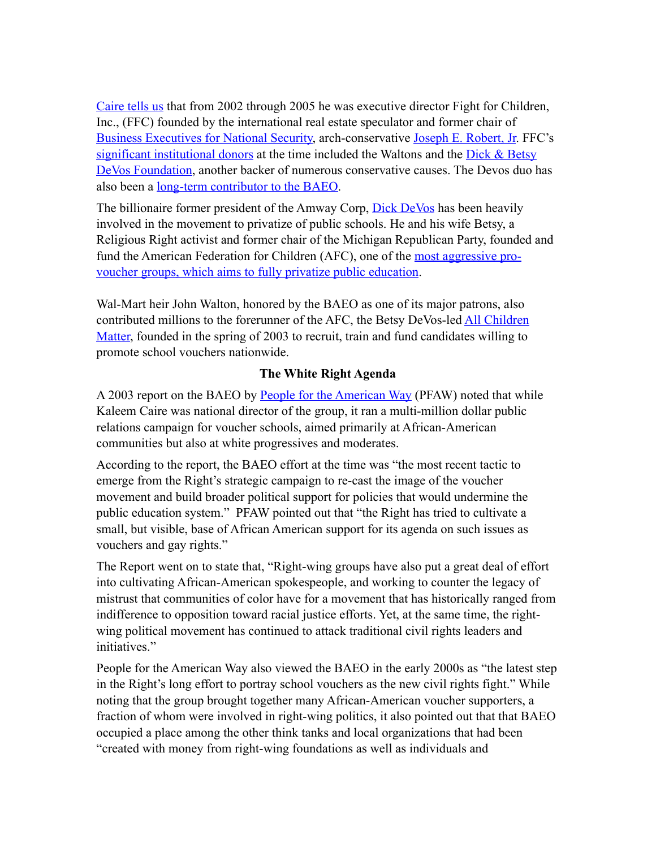[Caire tells us](http://www.linkedin.com/in/kaleemcaire) that from 2002 through 2005 he was executive director Fight for Children, Inc., (FFC) founded by the international real estate speculator and former chair of [Business Executives for National Security,](http://publicintelligence.net/business-executives-for-national-security-bens/) arch-conservative [Joseph E. Robert, Jr.](http://www.bens.org/about-us/leadership/joseph-robert.html) FFC's [significant institutional donors](http://old.mediatransparency.org/recipientgrants.php?recipientID=3527) at the time included the Waltons and the Dick & Betsy [DeVos Foundation](http://mediamattersaction.org/transparency/organization/Dick_and_Betsy_Devos_Foundation/grants), another backer of numerous conservative causes. The Devos duo has also been a [long-term contributor to the BAEO.](http://mediamattersaction.org/transparency/organization/Black_Alliance_for_Educational_Options/funders?year=-)

The billionaire former president of the Amway Corp, [Dick DeVos](http://www.alternet.org/teaparty/150868/the_devos_family:_meet_the_super-wealthy_right-wingers_working_with_the_religious_right_to_kill_public_education/?page=entire) has been heavily involved in the movement to privatize of public schools. He and his wife Betsy, a Religious Right activist and former chair of the Michigan Republican Party, founded and fund the American Federation for Children (AFC), one of the [most aggressive pro](http://www.talk2action.org/story/2011/4/20/232844/831)[voucher groups, which aims to fully privatize public education.](http://www.talk2action.org/story/2011/4/20/232844/831)

Wal-Mart heir John Walton, honored by the BAEO as one of its major patrons, also contributed millions to the forerunner of the AFC, the Betsy DeVos-led [All Children](http://www.rightwingwatch.org/content/all-children-matter)  [Matter,](http://www.rightwingwatch.org/content/all-children-matter) founded in the spring of 2003 to recruit, train and fund candidates willing to promote school vouchers nationwide.

## **The White Right Agenda**

A 2003 report on the BAEO by [People for the American Way](http://67.192.238.60/media-center/publications/community-voice/baeo-s-founding-image-and-strategy) (PFAW) noted that while Kaleem Caire was national director of the group, it ran a multi-million dollar public relations campaign for voucher schools, aimed primarily at African-American communities but also at white progressives and moderates.

According to the report, the BAEO effort at the time was "the most recent tactic to emerge from the Right's strategic campaign to re-cast the image of the voucher movement and build broader political support for policies that would undermine the public education system." PFAW pointed out that "the Right has tried to cultivate a small, but visible, base of African American support for its agenda on such issues as vouchers and gay rights."

The Report went on to state that, "Right-wing groups have also put a great deal of effort into cultivating African-American spokespeople, and working to counter the legacy of mistrust that communities of color have for a movement that has historically ranged from indifference to opposition toward racial justice efforts. Yet, at the same time, the rightwing political movement has continued to attack traditional civil rights leaders and initiatives."

People for the American Way also viewed the BAEO in the early 2000s as "the latest step in the Right's long effort to portray school vouchers as the new civil rights fight." While noting that the group brought together many African-American voucher supporters, a fraction of whom were involved in right-wing politics, it also pointed out that that BAEO occupied a place among the other think tanks and local organizations that had been "created with money from right-wing foundations as well as individuals and